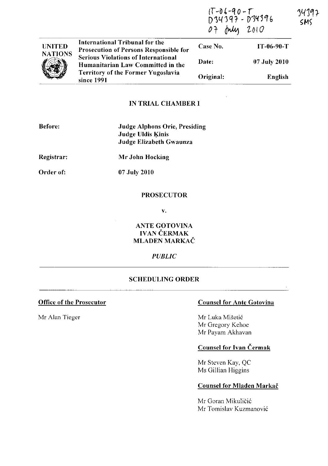|                                 |                                                                                 | D34397 - D34396<br>07 July 2010 |              |
|---------------------------------|---------------------------------------------------------------------------------|---------------------------------|--------------|
| <b>UNITED</b><br><b>NATIONS</b> | International Tribunal for the<br><b>Prosecution of Persons Responsible for</b> | Case No.                        | $IT-06-90-T$ |
|                                 | <b>Serious Violations of International</b><br>Humanitarian Law Committed in the | Date:                           | 07 July 2010 |
|                                 | <b>Territory of the Former Yugoslavia</b><br>since 1991                         | Original:                       | English      |

# IN TRIAL CHAMBER I

| Before:    | <b>Judge Alphons Orie, Presiding</b><br><b>Judge Uldis Kinis</b><br>Judge Elizabeth Gwaunza |
|------------|---------------------------------------------------------------------------------------------|
| Registrar: | Mr John Hocking                                                                             |
| Order of:  | 07 July 2010                                                                                |

## PROSECUTOR

v.

ANTE GOTOVINA IVAN ČERMAK MLADEN MARKAČ

## *PUBLIC*

### SCHEDULING ORDER

## Office of the Prosecutor Counsel for Ante Gotovina

(f *-04-'10* - r

Mr Alan Tieger Mr Luka Mišetić Mr Gregory Kehoe Mr Payam Akhavan

# Counsel for Ivan Cermak

Mr Steven Kay, QC Ms Gillian Higgins

### Counsel for Mladen Markač

Mr Goran Mikuličić Mr Tomislav Kuzmanović 34192 **SMS**